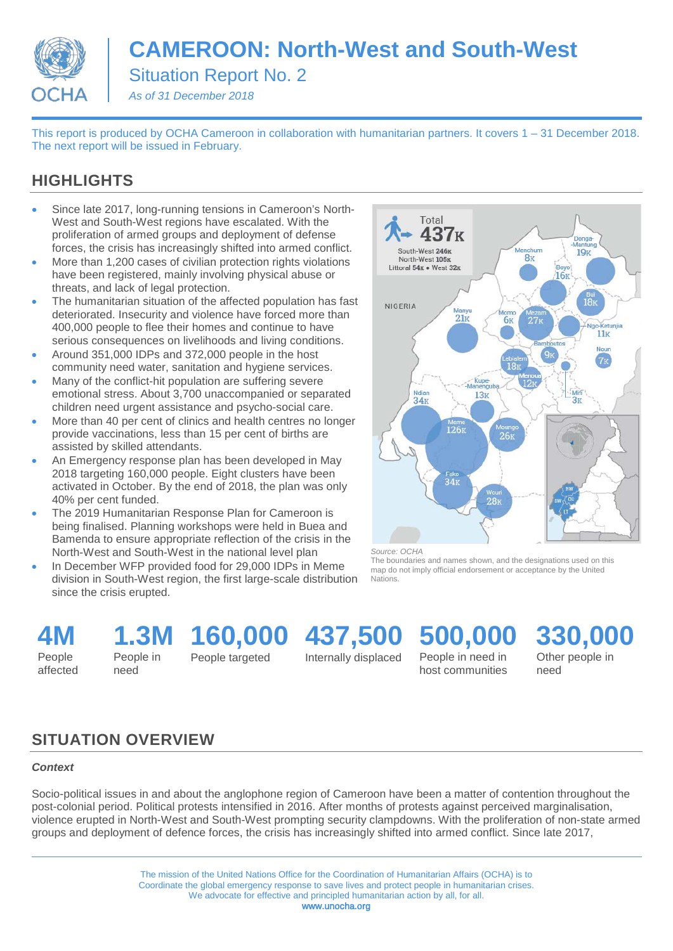

# **CAMEROON: North-West and South-West**

Situation Report No. 2

*As of 31 December 2018*

This report is produced by OCHA Cameroon in collaboration with humanitarian partners. It covers 1 – 31 December 2018. The next report will be issued in February.

### **HIGHLIGHTS**

- Since late 2017, long-running tensions in Cameroon's North-West and South-West regions have escalated. With the proliferation of armed groups and deployment of defense forces, the crisis has increasingly shifted into armed conflict.
- More than 1,200 cases of civilian protection rights violations have been registered, mainly involving physical abuse or threats, and lack of legal protection.
- The humanitarian situation of the affected population has fast deteriorated. Insecurity and violence have forced more than 400,000 people to flee their homes and continue to have serious consequences on livelihoods and living conditions.
- Around 351,000 IDPs and 372,000 people in the host community need water, sanitation and hygiene services.
- Many of the conflict-hit population are suffering severe emotional stress. About 3,700 unaccompanied or separated children need urgent assistance and psycho-social care.
- More than 40 per cent of clinics and health centres no longer provide vaccinations, less than 15 per cent of births are assisted by skilled attendants.
- An Emergency response plan has been developed in May 2018 targeting 160,000 people. Eight clusters have been activated in October. By the end of 2018, the plan was only 40% per cent funded.
- The 2019 Humanitarian Response Plan for Cameroon is being finalised. Planning workshops were held in Buea and Bamenda to ensure appropriate reflection of the crisis in the North-West and South-West in the national level plan
- In December WFP provided food for 29,000 IDPs in Meme division in South-West region, the first large-scale distribution since the crisis erupted.



*Source: OCHA*

The boundaries and names shown, and the designations used on this map do not imply official endorsement or acceptance by the United Nations.

**4M** People

affected

**1.3M**

People in need

People targeted

**160,000 437,500**

Internally displaced

**500,000** People in need in

host communities

**330,000** Other people in need

## **SITUATION OVERVIEW**

#### *Context*

Socio-political issues in and about the anglophone region of Cameroon have been a matter of contention throughout the post-colonial period. Political protests intensified in 2016. After months of protests against perceived marginalisation, violence erupted in North-West and South-West prompting security clampdowns. With the proliferation of non-state armed groups and deployment of defence forces, the crisis has increasingly shifted into armed conflict. Since late 2017,

> The mission of the United Nations Office for the Coordination of Humanitarian Affairs (OCHA) is to Coordinate the global emergency response to save lives and protect people in humanitarian crises. We advocate for effective and principled humanitarian action by all, for all. www.unocha.org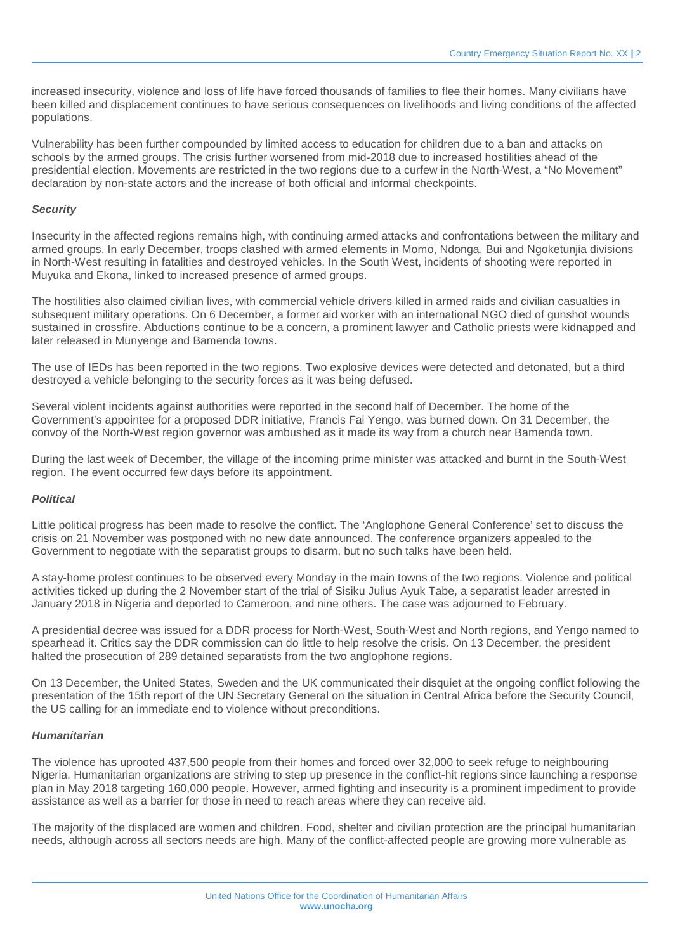increased insecurity, violence and loss of life have forced thousands of families to flee their homes. Many civilians have been killed and displacement continues to have serious consequences on livelihoods and living conditions of the affected populations.

Vulnerability has been further compounded by limited access to education for children due to a ban and attacks on schools by the armed groups. The crisis further worsened from mid-2018 due to increased hostilities ahead of the presidential election. Movements are restricted in the two regions due to a curfew in the North-West, a "No Movement" declaration by non-state actors and the increase of both official and informal checkpoints.

#### *Security*

Insecurity in the affected regions remains high, with continuing armed attacks and confrontations between the military and armed groups. In early December, troops clashed with armed elements in Momo, Ndonga, Bui and Ngoketunjia divisions in North-West resulting in fatalities and destroyed vehicles. In the South West, incidents of shooting were reported in Muyuka and Ekona, linked to increased presence of armed groups.

The hostilities also claimed civilian lives, with commercial vehicle drivers killed in armed raids and civilian casualties in subsequent military operations. On 6 December, a former aid worker with an international NGO died of gunshot wounds sustained in crossfire. Abductions continue to be a concern, a prominent lawyer and Catholic priests were kidnapped and later released in Munyenge and Bamenda towns.

The use of IEDs has been reported in the two regions. Two explosive devices were detected and detonated, but a third destroyed a vehicle belonging to the security forces as it was being defused.

Several violent incidents against authorities were reported in the second half of December. The home of the Government's appointee for a proposed DDR initiative, Francis Fai Yengo, was burned down. On 31 December, the convoy of the North-West region governor was ambushed as it made its way from a church near Bamenda town.

During the last week of December, the village of the incoming prime minister was attacked and burnt in the South-West region. The event occurred few days before its appointment.

#### *Political*

Little political progress has been made to resolve the conflict. The 'Anglophone General Conference' set to discuss the crisis on 21 November was postponed with no new date announced. The conference organizers appealed to the Government to negotiate with the separatist groups to disarm, but no such talks have been held.

A stay-home protest continues to be observed every Monday in the main towns of the two regions. Violence and political activities ticked up during the 2 November start of the trial of Sisiku Julius Ayuk Tabe, a separatist leader arrested in January 2018 in Nigeria and deported to Cameroon, and nine others. The case was adjourned to February.

A presidential decree was issued for a DDR process for North-West, South-West and North regions, and Yengo named to spearhead it. Critics say the DDR commission can do little to help resolve the crisis. On 13 December, the president halted the prosecution of 289 detained separatists from the two anglophone regions.

On 13 December, the United States, Sweden and the UK communicated their disquiet at the ongoing conflict following the presentation of the 15th report of the UN Secretary General on the situation in Central Africa before the Security Council, the US calling for an immediate end to violence without preconditions.

#### *Humanitarian*

The violence has uprooted 437,500 people from their homes and forced over 32,000 to seek refuge to neighbouring Nigeria. Humanitarian organizations are striving to step up presence in the conflict-hit regions since launching a response plan in May 2018 targeting 160,000 people. However, armed fighting and insecurity is a prominent impediment to provide assistance as well as a barrier for those in need to reach areas where they can receive aid.

The majority of the displaced are women and children. Food, shelter and civilian protection are the principal humanitarian needs, although across all sectors needs are high. Many of the conflict-affected people are growing more vulnerable as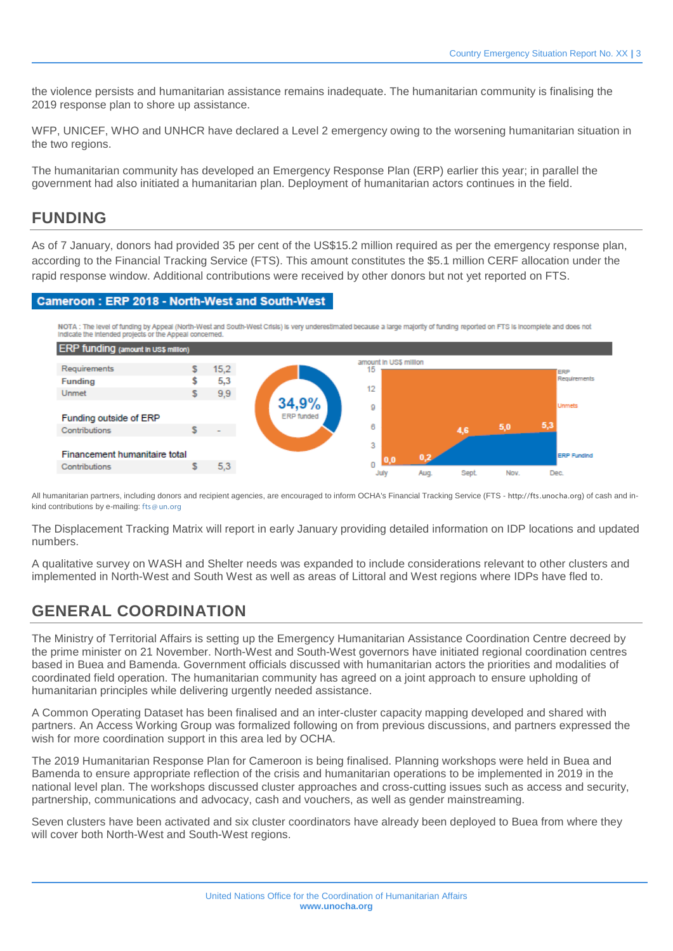the violence persists and humanitarian assistance remains inadequate. The humanitarian community is finalising the 2019 response plan to shore up assistance.

WFP, UNICEF, WHO and UNHCR have declared a Level 2 emergency owing to the worsening humanitarian situation in the two regions.

The humanitarian community has developed an Emergency Response Plan (ERP) earlier this year; in parallel the government had also initiated a humanitarian plan. Deployment of humanitarian actors continues in the field.

#### **FUNDING**

As of 7 January, donors had provided 35 per cent of the US\$15.2 million required as per the emergency response plan, according to the Financial Tracking Service (FTS). This amount constitutes the \$5.1 million CERF allocation under the rapid response window. Additional contributions were received by other donors but not yet reported on FTS.

#### Cameroon: ERP 2018 - North-West and South-West

NOTA : The level of funding by Appeal (North-West and South-West Crisis) is very underestimated because a large majority of funding reported on FTS is incomplete and does not<br>Indicate the intended projects or the Appeal co



All humanitarian partners, including donors and recipient agencies, are encouraged to inform OCHA's Financial Tracking Service (FTS - [http://fts .unocha.org](http://fts.unocha.org/)) of cash and inkind contributions by e-mailing: [fts @ un.org](mailto:fts@un.org)

The Displacement Tracking Matrix will report in early January providing detailed information on IDP locations and updated numbers.

A qualitative survey on WASH and Shelter needs was expanded to include considerations relevant to other clusters and implemented in North-West and South West as well as areas of Littoral and West regions where IDPs have fled to.

### **GENERAL COORDINATION**

The Ministry of Territorial Affairs is setting up the Emergency Humanitarian Assistance Coordination Centre decreed by the prime minister on 21 November. North-West and South-West governors have initiated regional coordination centres based in Buea and Bamenda. Government officials discussed with humanitarian actors the priorities and modalities of coordinated field operation. The humanitarian community has agreed on a joint approach to ensure upholding of humanitarian principles while delivering urgently needed assistance.

A Common Operating Dataset has been finalised and an inter-cluster capacity mapping developed and shared with partners. An Access Working Group was formalized following on from previous discussions, and partners expressed the wish for more coordination support in this area led by OCHA.

The 2019 Humanitarian Response Plan for Cameroon is being finalised. Planning workshops were held in Buea and Bamenda to ensure appropriate reflection of the crisis and humanitarian operations to be implemented in 2019 in the national level plan. The workshops discussed cluster approaches and cross-cutting issues such as access and security, partnership, communications and advocacy, cash and vouchers, as well as gender mainstreaming.

Seven clusters have been activated and six cluster coordinators have already been deployed to Buea from where they will cover both North-West and South-West regions.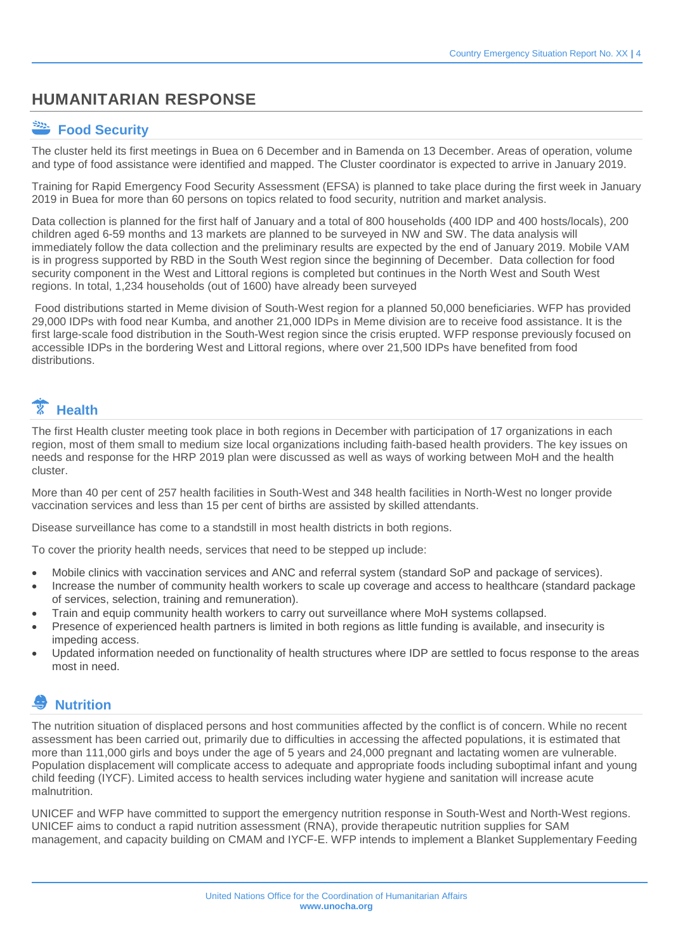### **HUMANITARIAN RESPONSE**

#### **Food Security**

The cluster held its first meetings in Buea on 6 December and in Bamenda on 13 December. Areas of operation, volume and type of food assistance were identified and mapped. The Cluster coordinator is expected to arrive in January 2019.

Training for Rapid Emergency Food Security Assessment (EFSA) is planned to take place during the first week in January 2019 in Buea for more than 60 persons on topics related to food security, nutrition and market analysis.

Data collection is planned for the first half of January and a total of 800 households (400 IDP and 400 hosts/locals), 200 children aged 6-59 months and 13 markets are planned to be surveyed in NW and SW. The data analysis will immediately follow the data collection and the preliminary results are expected by the end of January 2019. Mobile VAM is in progress supported by RBD in the South West region since the beginning of December. Data collection for food security component in the West and Littoral regions is completed but continues in the North West and South West regions. In total, 1,234 households (out of 1600) have already been surveyed

Food distributions started in Meme division of South-West region for a planned 50,000 beneficiaries. WFP has provided 29,000 IDPs with food near Kumba, and another 21,000 IDPs in Meme division are to receive food assistance. It is the first large-scale food distribution in the South-West region since the crisis erupted. WFP response previously focused on accessible IDPs in the bordering West and Littoral regions, where over 21,500 IDPs have benefited from food distributions.

# **Health**

The first Health cluster meeting took place in both regions in December with participation of 17 organizations in each region, most of them small to medium size local organizations including faith-based health providers. The key issues on needs and response for the HRP 2019 plan were discussed as well as ways of working between MoH and the health cluster.

More than 40 per cent of 257 health facilities in South-West and 348 health facilities in North-West no longer provide vaccination services and less than 15 per cent of births are assisted by skilled attendants.

Disease surveillance has come to a standstill in most health districts in both regions.

To cover the priority health needs, services that need to be stepped up include:

- Mobile clinics with vaccination services and ANC and referral system (standard SoP and package of services).
- Increase the number of community health workers to scale up coverage and access to healthcare (standard package of services, selection, training and remuneration).
- Train and equip community health workers to carry out surveillance where MoH systems collapsed.
- Presence of experienced health partners is limited in both regions as little funding is available, and insecurity is impeding access.
- Updated information needed on functionality of health structures where IDP are settled to focus response to the areas most in need.

### **Nutrition**

The nutrition situation of displaced persons and host communities affected by the conflict is of concern. While no recent assessment has been carried out, primarily due to difficulties in accessing the affected populations, it is estimated that more than 111,000 girls and boys under the age of 5 years and 24,000 pregnant and lactating women are vulnerable. Population displacement will complicate access to adequate and appropriate foods including suboptimal infant and young child feeding (IYCF). Limited access to health services including water hygiene and sanitation will increase acute malnutrition.

UNICEF and WFP have committed to support the emergency nutrition response in South-West and North-West regions. UNICEF aims to conduct a rapid nutrition assessment (RNA), provide therapeutic nutrition supplies for SAM management, and capacity building on CMAM and IYCF-E. WFP intends to implement a Blanket Supplementary Feeding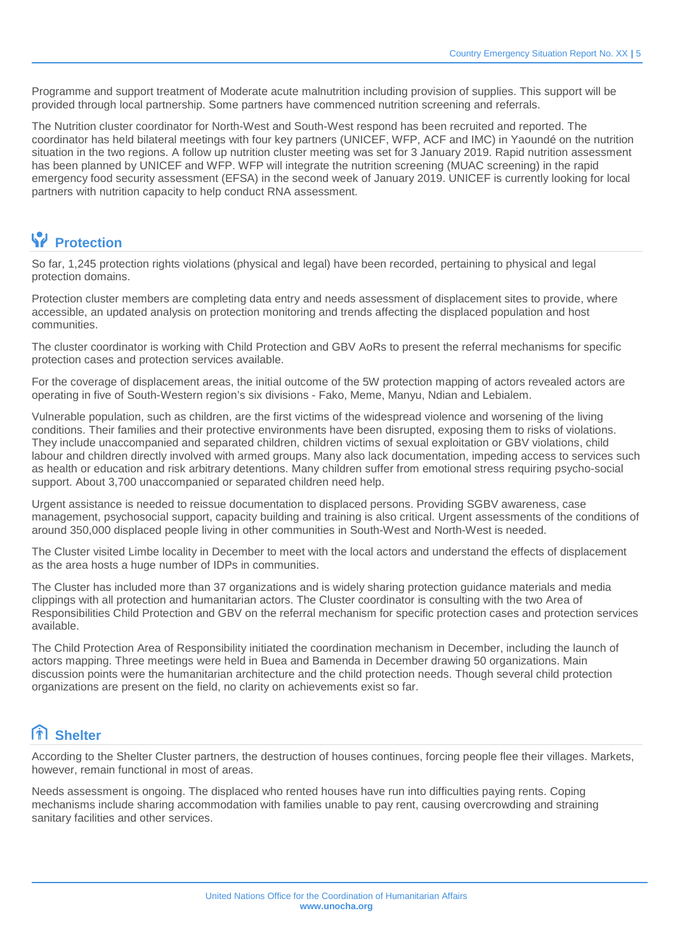Programme and support treatment of Moderate acute malnutrition including provision of supplies. This support will be provided through local partnership. Some partners have commenced nutrition screening and referrals.

The Nutrition cluster coordinator for North-West and South-West respond has been recruited and reported. The coordinator has held bilateral meetings with four key partners (UNICEF, WFP, ACF and IMC) in Yaoundé on the nutrition situation in the two regions. A follow up nutrition cluster meeting was set for 3 January 2019. Rapid nutrition assessment has been planned by UNICEF and WFP. WFP will integrate the nutrition screening (MUAC screening) in the rapid emergency food security assessment (EFSA) in the second week of January 2019. UNICEF is currently looking for local partners with nutrition capacity to help conduct RNA assessment.

#### *<u>Protection</u>*

So far, 1,245 protection rights violations (physical and legal) have been recorded, pertaining to physical and legal protection domains.

Protection cluster members are completing data entry and needs assessment of displacement sites to provide, where accessible, an updated analysis on protection monitoring and trends affecting the displaced population and host communities.

The cluster coordinator is working with Child Protection and GBV AoRs to present the referral mechanisms for specific protection cases and protection services available.

For the coverage of displacement areas, the initial outcome of the 5W protection mapping of actors revealed actors are operating in five of South-Western region's six divisions - Fako, Meme, Manyu, Ndian and Lebialem.

Vulnerable population, such as children, are the first victims of the widespread violence and worsening of the living conditions. Their families and their protective environments have been disrupted, exposing them to risks of violations. They include unaccompanied and separated children, children victims of sexual exploitation or GBV violations, child labour and children directly involved with armed groups. Many also lack documentation, impeding access to services such as health or education and risk arbitrary detentions. Many children suffer from emotional stress requiring psycho-social support. About 3,700 unaccompanied or separated children need help.

Urgent assistance is needed to reissue documentation to displaced persons. Providing SGBV awareness, case management, psychosocial support, capacity building and training is also critical. Urgent assessments of the conditions of around 350,000 displaced people living in other communities in South-West and North-West is needed.

The Cluster visited Limbe locality in December to meet with the local actors and understand the effects of displacement as the area hosts a huge number of IDPs in communities.

The Cluster has included more than 37 organizations and is widely sharing protection guidance materials and media clippings with all protection and humanitarian actors. The Cluster coordinator is consulting with the two Area of Responsibilities Child Protection and GBV on the referral mechanism for specific protection cases and protection services available.

The Child Protection Area of Responsibility initiated the coordination mechanism in December, including the launch of actors mapping. Three meetings were held in Buea and Bamenda in December drawing 50 organizations. Main discussion points were the humanitarian architecture and the child protection needs. Though several child protection organizations are present on the field, no clarity on achievements exist so far.

### **Shelter**

According to the Shelter Cluster partners, the destruction of houses continues, forcing people flee their villages. Markets, however, remain functional in most of areas.

Needs assessment is ongoing. The displaced who rented houses have run into difficulties paying rents. Coping mechanisms include sharing accommodation with families unable to pay rent, causing overcrowding and straining sanitary facilities and other services.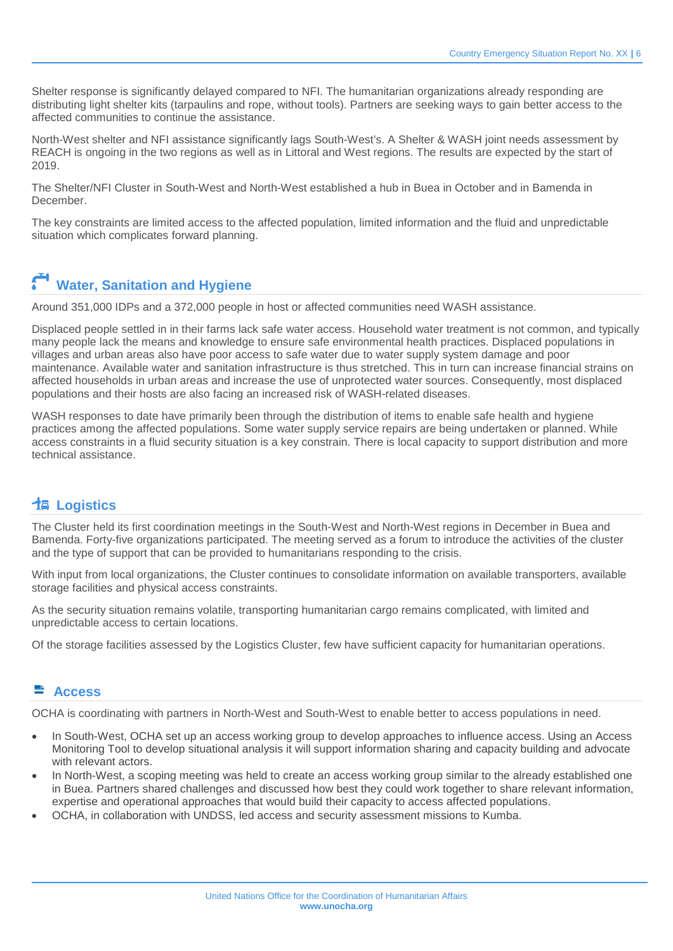Shelter response is significantly delayed compared to NFI. The humanitarian organizations already responding are distributing light shelter kits (tarpaulins and rope, without tools). Partners are seeking ways to gain better access to the affected communities to continue the assistance.

North-West shelter and NFI assistance significantly lags South-West's. A Shelter & WASH joint needs assessment by REACH is ongoing in the two regions as well as in Littoral and West regions. The results are expected by the start of 2019.

The Shelter/NFI Cluster in South-West and North-West established a hub in Buea in October and in Bamenda in December.

The key constraints are limited access to the affected population, limited information and the fluid and unpredictable situation which complicates forward planning.

# **Water, Sanitation and Hygiene**

Around 351,000 IDPs and a 372,000 people in host or affected communities need WASH assistance.

Displaced people settled in in their farms lack safe water access. Household water treatment is not common, and typically many people lack the means and knowledge to ensure safe environmental health practices. Displaced populations in villages and urban areas also have poor access to safe water due to water supply system damage and poor maintenance. Available water and sanitation infrastructure is thus stretched. This in turn can increase financial strains on affected households in urban areas and increase the use of unprotected water sources. Consequently, most displaced populations and their hosts are also facing an increased risk of WASH-related diseases.

WASH responses to date have primarily been through the distribution of items to enable safe health and hygiene practices among the affected populations. Some water supply service repairs are being undertaken or planned. While access constraints in a fluid security situation is a key constrain. There is local capacity to support distribution and more technical assistance.

#### **Logistics**

The Cluster held its first coordination meetings in the South-West and North-West regions in December in Buea and Bamenda. Forty-five organizations participated. The meeting served as a forum to introduce the activities of the cluster and the type of support that can be provided to humanitarians responding to the crisis.

With input from local organizations, the Cluster continues to consolidate information on available transporters, available storage facilities and physical access constraints.

As the security situation remains volatile, transporting humanitarian cargo remains complicated, with limited and unpredictable access to certain locations.

Of the storage facilities assessed by the Logistics Cluster, few have sufficient capacity for humanitarian operations.

#### **Access**

OCHA is coordinating with partners in North-West and South-West to enable better to access populations in need.

- In South-West, OCHA set up an access working group to develop approaches to influence access. Using an Access Monitoring Tool to develop situational analysis it will support information sharing and capacity building and advocate with relevant actors.
- In North-West, a scoping meeting was held to create an access working group similar to the already established one in Buea. Partners shared challenges and discussed how best they could work together to share relevant information, expertise and operational approaches that would build their capacity to access affected populations.
- OCHA, in collaboration with UNDSS, led access and security assessment missions to Kumba.